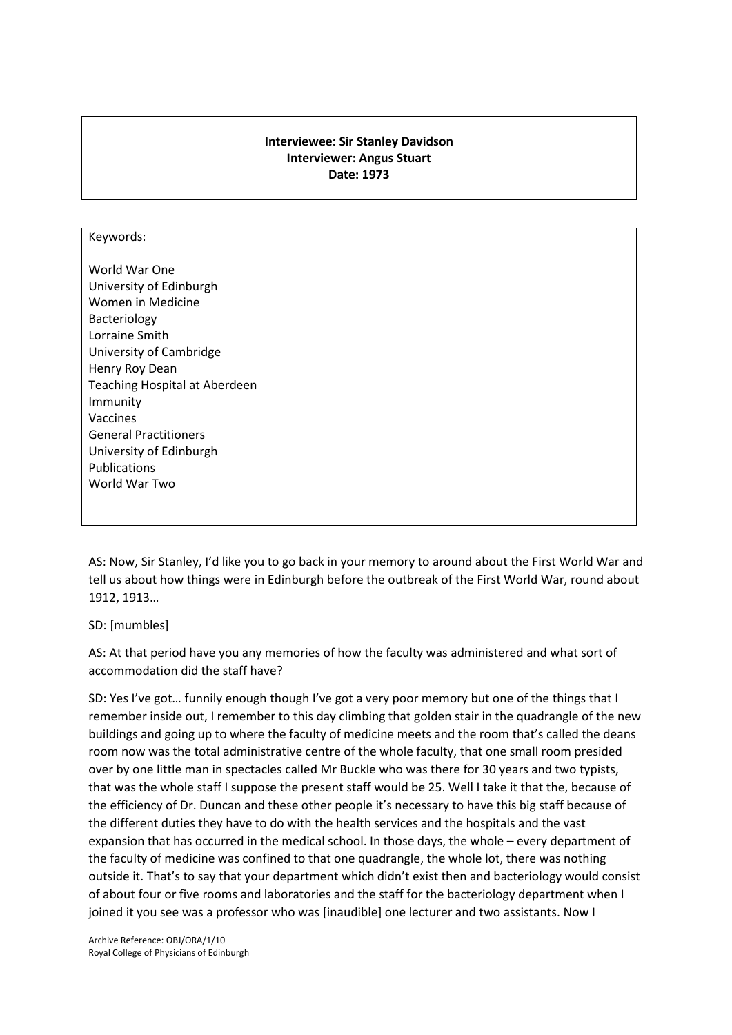## **Interviewee: Sir Stanley Davidson Interviewer: Angus Stuart Date: 1973**

#### Keywords:

World War One University of Edinburgh Women in Medicine Bacteriology Lorraine Smith University of Cambridge Henry Roy Dean Teaching Hospital at Aberdeen Immunity Vaccines General Practitioners University of Edinburgh Publications World War Two

AS: Now, Sir Stanley, I'd like you to go back in your memory to around about the First World War and tell us about how things were in Edinburgh before the outbreak of the First World War, round about 1912, 1913…

SD: [mumbles]

AS: At that period have you any memories of how the faculty was administered and what sort of accommodation did the staff have?

SD: Yes I've got… funnily enough though I've got a very poor memory but one of the things that I remember inside out, I remember to this day climbing that golden stair in the quadrangle of the new buildings and going up to where the faculty of medicine meets and the room that's called the deans room now was the total administrative centre of the whole faculty, that one small room presided over by one little man in spectacles called Mr Buckle who was there for 30 years and two typists, that was the whole staff I suppose the present staff would be 25. Well I take it that the, because of the efficiency of Dr. Duncan and these other people it's necessary to have this big staff because of the different duties they have to do with the health services and the hospitals and the vast expansion that has occurred in the medical school. In those days, the whole – every department of the faculty of medicine was confined to that one quadrangle, the whole lot, there was nothing outside it. That's to say that your department which didn't exist then and bacteriology would consist of about four or five rooms and laboratories and the staff for the bacteriology department when I joined it you see was a professor who was [inaudible] one lecturer and two assistants. Now I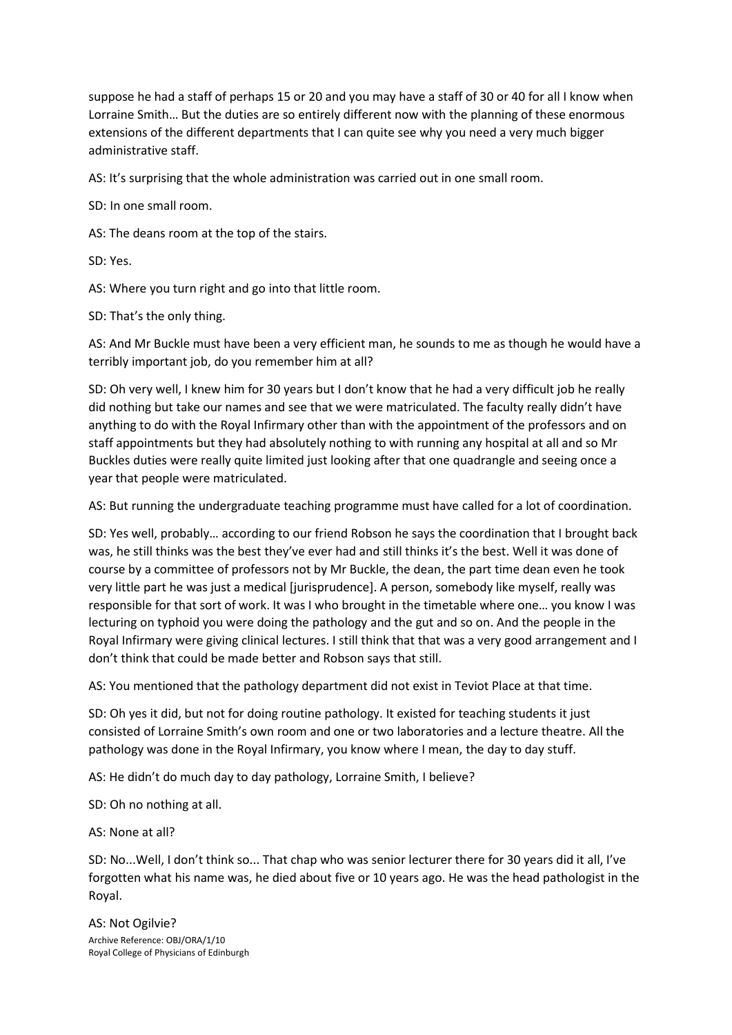suppose he had a staff of perhaps 15 or 20 and you may have a staff of 30 or 40 for all I know when Lorraine Smith… But the duties are so entirely different now with the planning of these enormous extensions of the different departments that I can quite see why you need a very much bigger administrative staff.

AS: It's surprising that the whole administration was carried out in one small room.

SD: In one small room.

AS: The deans room at the top of the stairs.

SD: Yes.

AS: Where you turn right and go into that little room.

SD: That's the only thing.

AS: And Mr Buckle must have been a very efficient man, he sounds to me as though he would have a terribly important job, do you remember him at all?

SD: Oh very well, I knew him for 30 years but I don't know that he had a very difficult job he really did nothing but take our names and see that we were matriculated. The faculty really didn't have anything to do with the Royal Infirmary other than with the appointment of the professors and on staff appointments but they had absolutely nothing to with running any hospital at all and so Mr Buckles duties were really quite limited just looking after that one quadrangle and seeing once a year that people were matriculated.

AS: But running the undergraduate teaching programme must have called for a lot of coordination.

SD: Yes well, probably… according to our friend Robson he says the coordination that I brought back was, he still thinks was the best they've ever had and still thinks it's the best. Well it was done of course by a committee of professors not by Mr Buckle, the dean, the part time dean even he took very little part he was just a medical [jurisprudence]. A person, somebody like myself, really was responsible for that sort of work. It was I who brought in the timetable where one… you know I was lecturing on typhoid you were doing the pathology and the gut and so on. And the people in the Royal Infirmary were giving clinical lectures. I still think that that was a very good arrangement and I don't think that could be made better and Robson says that still.

AS: You mentioned that the pathology department did not exist in Teviot Place at that time.

SD: Oh yes it did, but not for doing routine pathology. It existed for teaching students it just consisted of Lorraine Smith's own room and one or two laboratories and a lecture theatre. All the pathology was done in the Royal Infirmary, you know where I mean, the day to day stuff.

AS: He didn't do much day to day pathology, Lorraine Smith, I believe?

SD: Oh no nothing at all.

AS: None at all?

SD: No...Well, I don't think so... That chap who was senior lecturer there for 30 years did it all, I've forgotten what his name was, he died about five or 10 years ago. He was the head pathologist in the Royal.

Archive Reference: OBJ/ORA/1/10 Royal College of Physicians of Edinburgh AS: Not Ogilvie?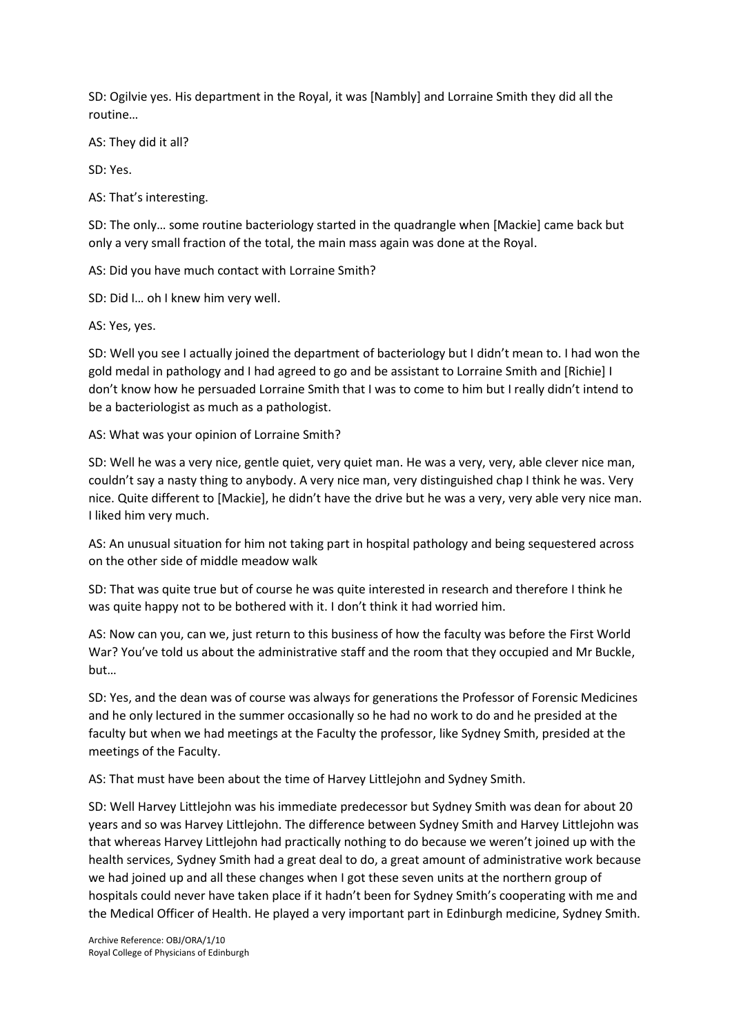SD: Ogilvie yes. His department in the Royal, it was [Nambly] and Lorraine Smith they did all the routine…

AS: They did it all?

SD: Yes.

AS: That's interesting.

SD: The only… some routine bacteriology started in the quadrangle when [Mackie] came back but only a very small fraction of the total, the main mass again was done at the Royal.

AS: Did you have much contact with Lorraine Smith?

SD: Did I… oh I knew him very well.

AS: Yes, yes.

SD: Well you see I actually joined the department of bacteriology but I didn't mean to. I had won the gold medal in pathology and I had agreed to go and be assistant to Lorraine Smith and [Richie] I don't know how he persuaded Lorraine Smith that I was to come to him but I really didn't intend to be a bacteriologist as much as a pathologist.

AS: What was your opinion of Lorraine Smith?

SD: Well he was a very nice, gentle quiet, very quiet man. He was a very, very, able clever nice man, couldn't say a nasty thing to anybody. A very nice man, very distinguished chap I think he was. Very nice. Quite different to [Mackie], he didn't have the drive but he was a very, very able very nice man. I liked him very much.

AS: An unusual situation for him not taking part in hospital pathology and being sequestered across on the other side of middle meadow walk

SD: That was quite true but of course he was quite interested in research and therefore I think he was quite happy not to be bothered with it. I don't think it had worried him.

AS: Now can you, can we, just return to this business of how the faculty was before the First World War? You've told us about the administrative staff and the room that they occupied and Mr Buckle, but…

SD: Yes, and the dean was of course was always for generations the Professor of Forensic Medicines and he only lectured in the summer occasionally so he had no work to do and he presided at the faculty but when we had meetings at the Faculty the professor, like Sydney Smith, presided at the meetings of the Faculty.

AS: That must have been about the time of Harvey Littlejohn and Sydney Smith.

SD: Well Harvey Littlejohn was his immediate predecessor but Sydney Smith was dean for about 20 years and so was Harvey Littlejohn. The difference between Sydney Smith and Harvey Littlejohn was that whereas Harvey Littlejohn had practically nothing to do because we weren't joined up with the health services, Sydney Smith had a great deal to do, a great amount of administrative work because we had joined up and all these changes when I got these seven units at the northern group of hospitals could never have taken place if it hadn't been for Sydney Smith's cooperating with me and the Medical Officer of Health. He played a very important part in Edinburgh medicine, Sydney Smith.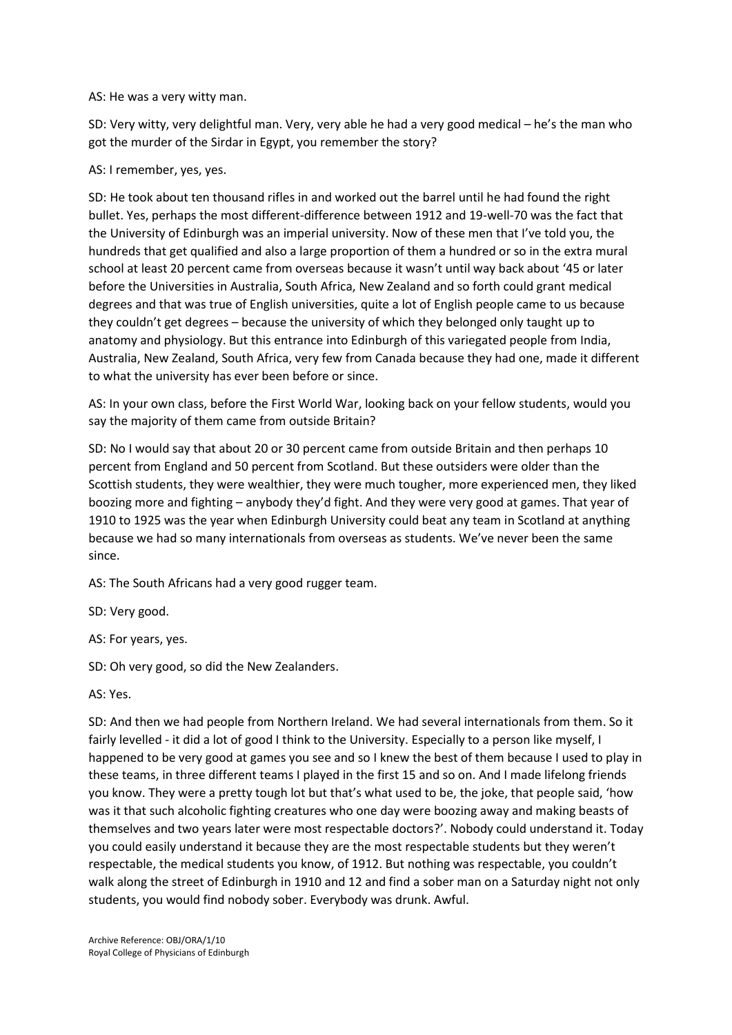#### AS: He was a very witty man.

SD: Very witty, very delightful man. Very, very able he had a very good medical – he's the man who got the murder of the Sirdar in Egypt, you remember the story?

## AS: I remember, yes, yes.

SD: He took about ten thousand rifles in and worked out the barrel until he had found the right bullet. Yes, perhaps the most different-difference between 1912 and 19-well-70 was the fact that the University of Edinburgh was an imperial university. Now of these men that I've told you, the hundreds that get qualified and also a large proportion of them a hundred or so in the extra mural school at least 20 percent came from overseas because it wasn't until way back about '45 or later before the Universities in Australia, South Africa, New Zealand and so forth could grant medical degrees and that was true of English universities, quite a lot of English people came to us because they couldn't get degrees – because the university of which they belonged only taught up to anatomy and physiology. But this entrance into Edinburgh of this variegated people from India, Australia, New Zealand, South Africa, very few from Canada because they had one, made it different to what the university has ever been before or since.

AS: In your own class, before the First World War, looking back on your fellow students, would you say the majority of them came from outside Britain?

SD: No I would say that about 20 or 30 percent came from outside Britain and then perhaps 10 percent from England and 50 percent from Scotland. But these outsiders were older than the Scottish students, they were wealthier, they were much tougher, more experienced men, they liked boozing more and fighting – anybody they'd fight. And they were very good at games. That year of 1910 to 1925 was the year when Edinburgh University could beat any team in Scotland at anything because we had so many internationals from overseas as students. We've never been the same since.

AS: The South Africans had a very good rugger team.

SD: Very good.

AS: For years, yes.

SD: Oh very good, so did the New Zealanders.

AS: Yes.

SD: And then we had people from Northern Ireland. We had several internationals from them. So it fairly levelled - it did a lot of good I think to the University. Especially to a person like myself, I happened to be very good at games you see and so I knew the best of them because I used to play in these teams, in three different teams I played in the first 15 and so on. And I made lifelong friends you know. They were a pretty tough lot but that's what used to be, the joke, that people said, 'how was it that such alcoholic fighting creatures who one day were boozing away and making beasts of themselves and two years later were most respectable doctors?'. Nobody could understand it. Today you could easily understand it because they are the most respectable students but they weren't respectable, the medical students you know, of 1912. But nothing was respectable, you couldn't walk along the street of Edinburgh in 1910 and 12 and find a sober man on a Saturday night not only students, you would find nobody sober. Everybody was drunk. Awful.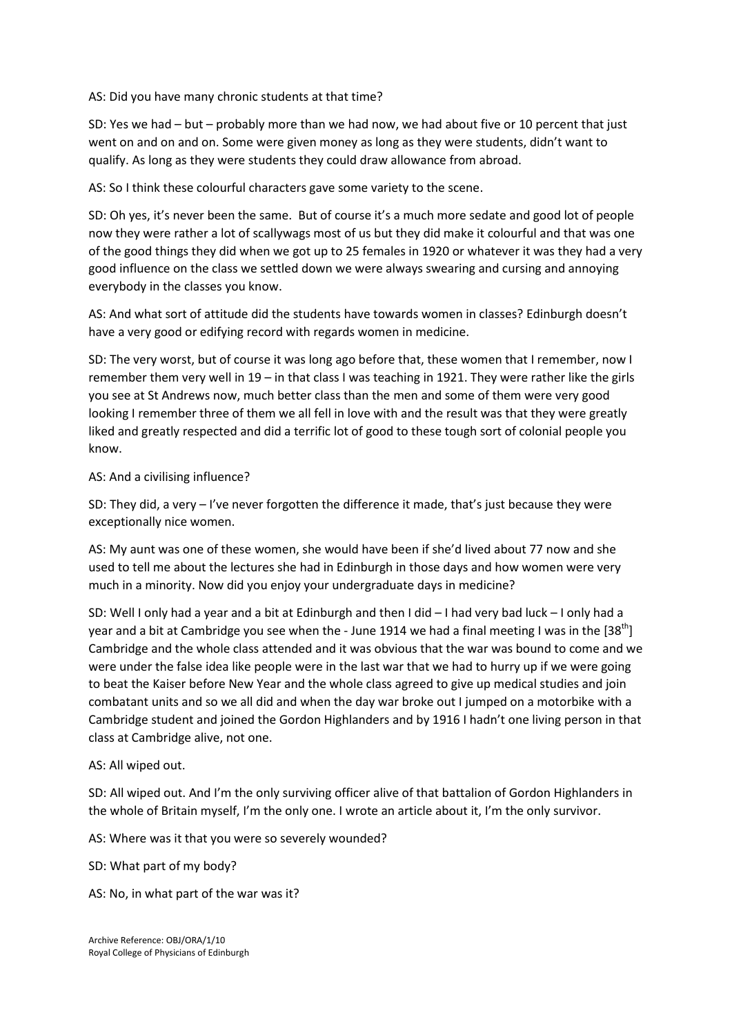AS: Did you have many chronic students at that time?

SD: Yes we had – but – probably more than we had now, we had about five or 10 percent that just went on and on and on. Some were given money as long as they were students, didn't want to qualify. As long as they were students they could draw allowance from abroad.

AS: So I think these colourful characters gave some variety to the scene.

SD: Oh yes, it's never been the same. But of course it's a much more sedate and good lot of people now they were rather a lot of scallywags most of us but they did make it colourful and that was one of the good things they did when we got up to 25 females in 1920 or whatever it was they had a very good influence on the class we settled down we were always swearing and cursing and annoying everybody in the classes you know.

AS: And what sort of attitude did the students have towards women in classes? Edinburgh doesn't have a very good or edifying record with regards women in medicine.

SD: The very worst, but of course it was long ago before that, these women that I remember, now I remember them very well in 19 – in that class I was teaching in 1921. They were rather like the girls you see at St Andrews now, much better class than the men and some of them were very good looking I remember three of them we all fell in love with and the result was that they were greatly liked and greatly respected and did a terrific lot of good to these tough sort of colonial people you know.

AS: And a civilising influence?

SD: They did, a very – I've never forgotten the difference it made, that's just because they were exceptionally nice women.

AS: My aunt was one of these women, she would have been if she'd lived about 77 now and she used to tell me about the lectures she had in Edinburgh in those days and how women were very much in a minority. Now did you enjoy your undergraduate days in medicine?

SD: Well I only had a year and a bit at Edinburgh and then I did – I had very bad luck – I only had a year and a bit at Cambridge you see when the - June 1914 we had a final meeting I was in the  $[38<sup>th</sup>]$ Cambridge and the whole class attended and it was obvious that the war was bound to come and we were under the false idea like people were in the last war that we had to hurry up if we were going to beat the Kaiser before New Year and the whole class agreed to give up medical studies and join combatant units and so we all did and when the day war broke out I jumped on a motorbike with a Cambridge student and joined the Gordon Highlanders and by 1916 I hadn't one living person in that class at Cambridge alive, not one.

### AS: All wiped out.

SD: All wiped out. And I'm the only surviving officer alive of that battalion of Gordon Highlanders in the whole of Britain myself, I'm the only one. I wrote an article about it, I'm the only survivor.

AS: Where was it that you were so severely wounded?

SD: What part of my body?

AS: No, in what part of the war was it?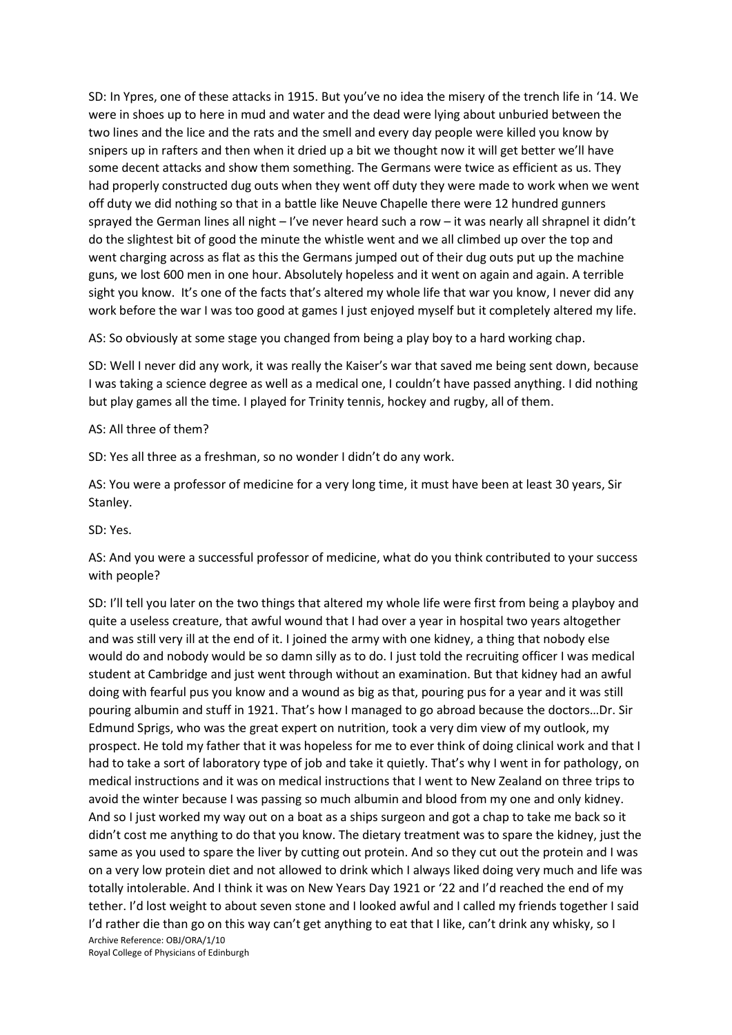SD: In Ypres, one of these attacks in 1915. But you've no idea the misery of the trench life in '14. We were in shoes up to here in mud and water and the dead were lying about unburied between the two lines and the lice and the rats and the smell and every day people were killed you know by snipers up in rafters and then when it dried up a bit we thought now it will get better we'll have some decent attacks and show them something. The Germans were twice as efficient as us. They had properly constructed dug outs when they went off duty they were made to work when we went off duty we did nothing so that in a battle like Neuve Chapelle there were 12 hundred gunners sprayed the German lines all night – I've never heard such a row – it was nearly all shrapnel it didn't do the slightest bit of good the minute the whistle went and we all climbed up over the top and went charging across as flat as this the Germans jumped out of their dug outs put up the machine guns, we lost 600 men in one hour. Absolutely hopeless and it went on again and again. A terrible sight you know. It's one of the facts that's altered my whole life that war you know, I never did any work before the war I was too good at games I just enjoyed myself but it completely altered my life.

AS: So obviously at some stage you changed from being a play boy to a hard working chap.

SD: Well I never did any work, it was really the Kaiser's war that saved me being sent down, because I was taking a science degree as well as a medical one, I couldn't have passed anything. I did nothing but play games all the time. I played for Trinity tennis, hockey and rugby, all of them.

#### AS: All three of them?

SD: Yes all three as a freshman, so no wonder I didn't do any work.

AS: You were a professor of medicine for a very long time, it must have been at least 30 years, Sir Stanley.

SD: Yes.

AS: And you were a successful professor of medicine, what do you think contributed to your success with people?

Archive Reference: OBJ/ORA/1/10 Royal College of Physicians of Edinburgh SD: I'll tell you later on the two things that altered my whole life were first from being a playboy and quite a useless creature, that awful wound that I had over a year in hospital two years altogether and was still very ill at the end of it. I joined the army with one kidney, a thing that nobody else would do and nobody would be so damn silly as to do. I just told the recruiting officer I was medical student at Cambridge and just went through without an examination. But that kidney had an awful doing with fearful pus you know and a wound as big as that, pouring pus for a year and it was still pouring albumin and stuff in 1921. That's how I managed to go abroad because the doctors…Dr. Sir Edmund Sprigs, who was the great expert on nutrition, took a very dim view of my outlook, my prospect. He told my father that it was hopeless for me to ever think of doing clinical work and that I had to take a sort of laboratory type of job and take it quietly. That's why I went in for pathology, on medical instructions and it was on medical instructions that I went to New Zealand on three trips to avoid the winter because I was passing so much albumin and blood from my one and only kidney. And so I just worked my way out on a boat as a ships surgeon and got a chap to take me back so it didn't cost me anything to do that you know. The dietary treatment was to spare the kidney, just the same as you used to spare the liver by cutting out protein. And so they cut out the protein and I was on a very low protein diet and not allowed to drink which I always liked doing very much and life was totally intolerable. And I think it was on New Years Day 1921 or '22 and I'd reached the end of my tether. I'd lost weight to about seven stone and I looked awful and I called my friends together I said I'd rather die than go on this way can't get anything to eat that I like, can't drink any whisky, so I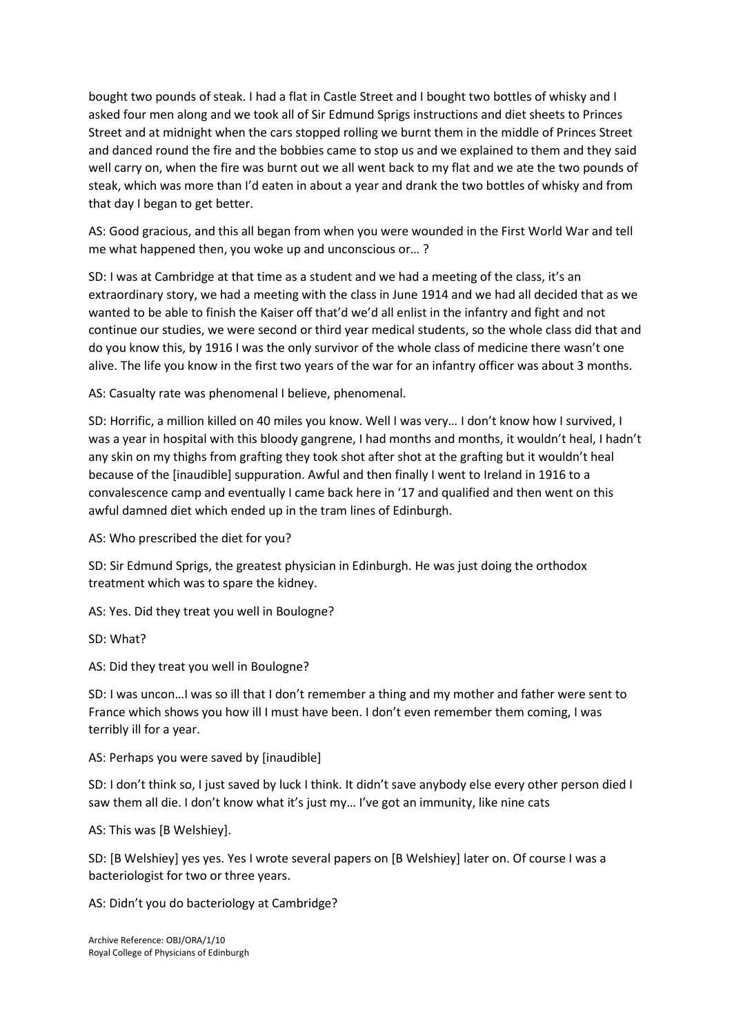bought two pounds of steak. I had a flat in Castle Street and I bought two bottles of whisky and I asked four men along and we took all of Sir Edmund Sprigs instructions and diet sheets to Princes Street and at midnight when the cars stopped rolling we burnt them in the middle of Princes Street and danced round the fire and the bobbies came to stop us and we explained to them and they said well carry on, when the fire was burnt out we all went back to my flat and we ate the two pounds of steak, which was more than I'd eaten in about a year and drank the two bottles of whisky and from that day I began to get better.

AS: Good gracious, and this all began from when you were wounded in the First World War and tell me what happened then, you woke up and unconscious or… ?

SD: I was at Cambridge at that time as a student and we had a meeting of the class, it's an extraordinary story, we had a meeting with the class in June 1914 and we had all decided that as we wanted to be able to finish the Kaiser off that'd we'd all enlist in the infantry and fight and not continue our studies, we were second or third year medical students, so the whole class did that and do you know this, by 1916 I was the only survivor of the whole class of medicine there wasn't one alive. The life you know in the first two years of the war for an infantry officer was about 3 months.

AS: Casualty rate was phenomenal I believe, phenomenal.

SD: Horrific, a million killed on 40 miles you know. Well I was very… I don't know how I survived, I was a year in hospital with this bloody gangrene, I had months and months, it wouldn't heal, I hadn't any skin on my thighs from grafting they took shot after shot at the grafting but it wouldn't heal because of the [inaudible] suppuration. Awful and then finally I went to Ireland in 1916 to a convalescence camp and eventually I came back here in '17 and qualified and then went on this awful damned diet which ended up in the tram lines of Edinburgh.

AS: Who prescribed the diet for you?

SD: Sir Edmund Sprigs, the greatest physician in Edinburgh. He was just doing the orthodox treatment which was to spare the kidney.

AS: Yes. Did they treat you well in Boulogne?

SD: What?

AS: Did they treat you well in Boulogne?

SD: I was uncon…I was so ill that I don't remember a thing and my mother and father were sent to France which shows you how ill I must have been. I don't even remember them coming, I was terribly ill for a year.

AS: Perhaps you were saved by [inaudible]

SD: I don't think so, I just saved by luck I think. It didn't save anybody else every other person died I saw them all die. I don't know what it's just my… I've got an immunity, like nine cats

AS: This was [B Welshiey].

SD: [B Welshiey] yes yes. Yes I wrote several papers on [B Welshiey] later on. Of course I was a bacteriologist for two or three years.

AS: Didn't you do bacteriology at Cambridge?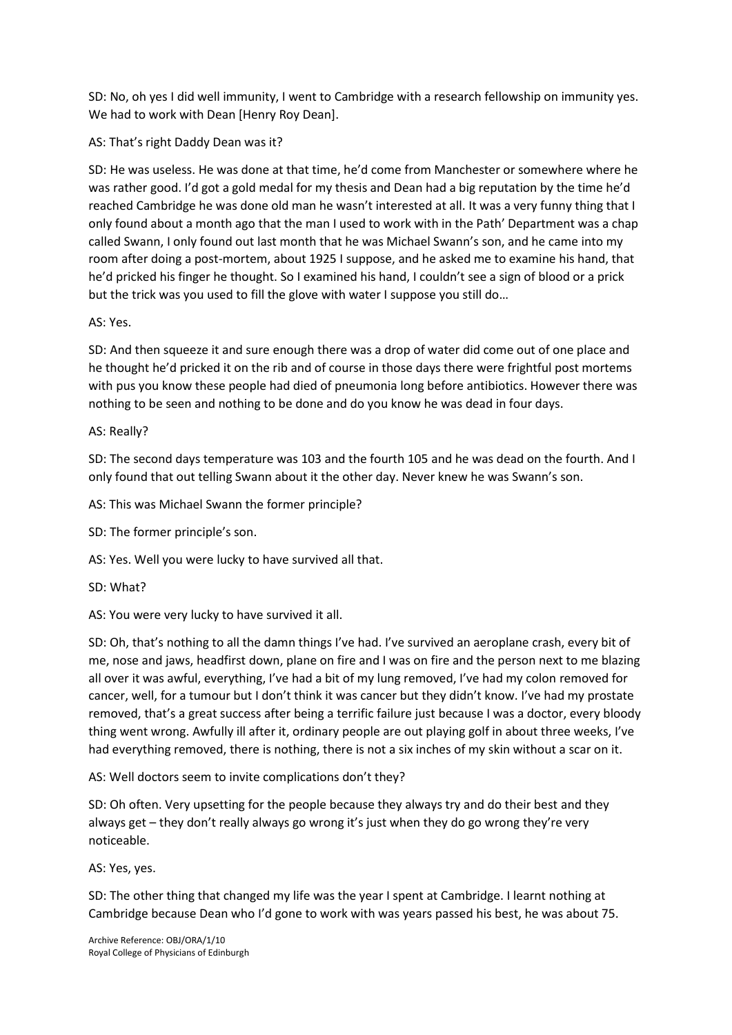SD: No, oh yes I did well immunity, I went to Cambridge with a research fellowship on immunity yes. We had to work with Dean [Henry Roy Dean].

AS: That's right Daddy Dean was it?

SD: He was useless. He was done at that time, he'd come from Manchester or somewhere where he was rather good. I'd got a gold medal for my thesis and Dean had a big reputation by the time he'd reached Cambridge he was done old man he wasn't interested at all. It was a very funny thing that I only found about a month ago that the man I used to work with in the Path' Department was a chap called Swann, I only found out last month that he was Michael Swann's son, and he came into my room after doing a post-mortem, about 1925 I suppose, and he asked me to examine his hand, that he'd pricked his finger he thought. So I examined his hand, I couldn't see a sign of blood or a prick but the trick was you used to fill the glove with water I suppose you still do…

# AS: Yes.

SD: And then squeeze it and sure enough there was a drop of water did come out of one place and he thought he'd pricked it on the rib and of course in those days there were frightful post mortems with pus you know these people had died of pneumonia long before antibiotics. However there was nothing to be seen and nothing to be done and do you know he was dead in four days.

# AS: Really?

SD: The second days temperature was 103 and the fourth 105 and he was dead on the fourth. And I only found that out telling Swann about it the other day. Never knew he was Swann's son.

AS: This was Michael Swann the former principle?

SD: The former principle's son.

AS: Yes. Well you were lucky to have survived all that.

SD: What?

AS: You were very lucky to have survived it all.

SD: Oh, that's nothing to all the damn things I've had. I've survived an aeroplane crash, every bit of me, nose and jaws, headfirst down, plane on fire and I was on fire and the person next to me blazing all over it was awful, everything, I've had a bit of my lung removed, I've had my colon removed for cancer, well, for a tumour but I don't think it was cancer but they didn't know. I've had my prostate removed, that's a great success after being a terrific failure just because I was a doctor, every bloody thing went wrong. Awfully ill after it, ordinary people are out playing golf in about three weeks, I've had everything removed, there is nothing, there is not a six inches of my skin without a scar on it.

AS: Well doctors seem to invite complications don't they?

SD: Oh often. Very upsetting for the people because they always try and do their best and they always get – they don't really always go wrong it's just when they do go wrong they're very noticeable.

AS: Yes, yes.

SD: The other thing that changed my life was the year I spent at Cambridge. I learnt nothing at Cambridge because Dean who I'd gone to work with was years passed his best, he was about 75.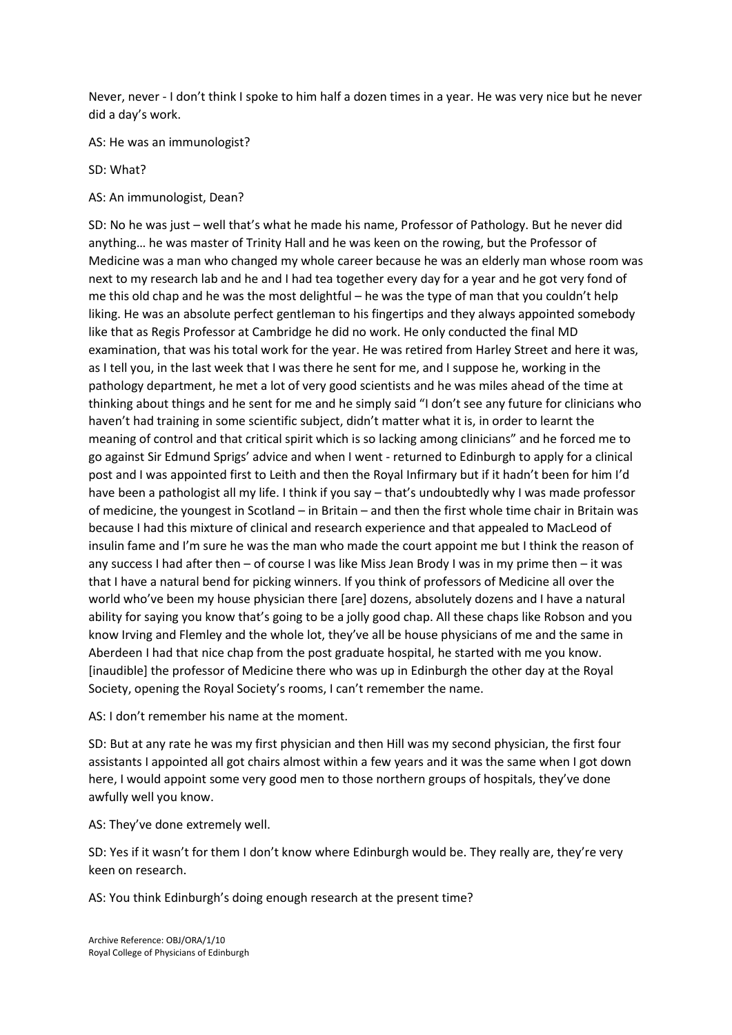Never, never - I don't think I spoke to him half a dozen times in a year. He was very nice but he never did a day's work.

AS: He was an immunologist?

SD: What?

AS: An immunologist, Dean?

SD: No he was just – well that's what he made his name, Professor of Pathology. But he never did anything… he was master of Trinity Hall and he was keen on the rowing, but the Professor of Medicine was a man who changed my whole career because he was an elderly man whose room was next to my research lab and he and I had tea together every day for a year and he got very fond of me this old chap and he was the most delightful – he was the type of man that you couldn't help liking. He was an absolute perfect gentleman to his fingertips and they always appointed somebody like that as Regis Professor at Cambridge he did no work. He only conducted the final MD examination, that was his total work for the year. He was retired from Harley Street and here it was, as I tell you, in the last week that I was there he sent for me, and I suppose he, working in the pathology department, he met a lot of very good scientists and he was miles ahead of the time at thinking about things and he sent for me and he simply said "I don't see any future for clinicians who haven't had training in some scientific subject, didn't matter what it is, in order to learnt the meaning of control and that critical spirit which is so lacking among clinicians" and he forced me to go against Sir Edmund Sprigs' advice and when I went - returned to Edinburgh to apply for a clinical post and I was appointed first to Leith and then the Royal Infirmary but if it hadn't been for him I'd have been a pathologist all my life. I think if you say – that's undoubtedly why I was made professor of medicine, the youngest in Scotland – in Britain – and then the first whole time chair in Britain was because I had this mixture of clinical and research experience and that appealed to MacLeod of insulin fame and I'm sure he was the man who made the court appoint me but I think the reason of any success I had after then – of course I was like Miss Jean Brody I was in my prime then – it was that I have a natural bend for picking winners. If you think of professors of Medicine all over the world who've been my house physician there [are] dozens, absolutely dozens and I have a natural ability for saying you know that's going to be a jolly good chap. All these chaps like Robson and you know Irving and Flemley and the whole lot, they've all be house physicians of me and the same in Aberdeen I had that nice chap from the post graduate hospital, he started with me you know. [inaudible] the professor of Medicine there who was up in Edinburgh the other day at the Royal Society, opening the Royal Society's rooms, I can't remember the name.

AS: I don't remember his name at the moment.

SD: But at any rate he was my first physician and then Hill was my second physician, the first four assistants I appointed all got chairs almost within a few years and it was the same when I got down here, I would appoint some very good men to those northern groups of hospitals, they've done awfully well you know.

AS: They've done extremely well.

SD: Yes if it wasn't for them I don't know where Edinburgh would be. They really are, they're very keen on research.

AS: You think Edinburgh's doing enough research at the present time?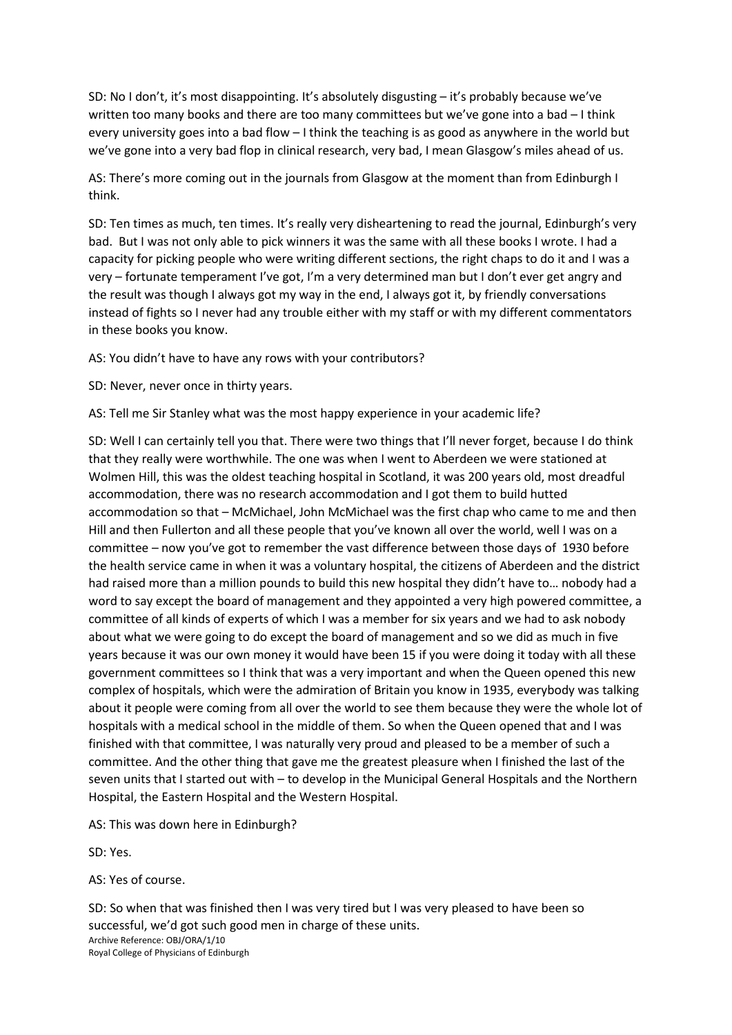SD: No I don't, it's most disappointing. It's absolutely disgusting – it's probably because we've written too many books and there are too many committees but we've gone into a bad - I think every university goes into a bad flow – I think the teaching is as good as anywhere in the world but we've gone into a very bad flop in clinical research, very bad, I mean Glasgow's miles ahead of us.

AS: There's more coming out in the journals from Glasgow at the moment than from Edinburgh I think.

SD: Ten times as much, ten times. It's really very disheartening to read the journal, Edinburgh's very bad. But I was not only able to pick winners it was the same with all these books I wrote. I had a capacity for picking people who were writing different sections, the right chaps to do it and I was a very – fortunate temperament I've got, I'm a very determined man but I don't ever get angry and the result was though I always got my way in the end, I always got it, by friendly conversations instead of fights so I never had any trouble either with my staff or with my different commentators in these books you know.

AS: You didn't have to have any rows with your contributors?

SD: Never, never once in thirty years.

AS: Tell me Sir Stanley what was the most happy experience in your academic life?

SD: Well I can certainly tell you that. There were two things that I'll never forget, because I do think that they really were worthwhile. The one was when I went to Aberdeen we were stationed at Wolmen Hill, this was the oldest teaching hospital in Scotland, it was 200 years old, most dreadful accommodation, there was no research accommodation and I got them to build hutted accommodation so that – McMichael, John McMichael was the first chap who came to me and then Hill and then Fullerton and all these people that you've known all over the world, well I was on a committee – now you've got to remember the vast difference between those days of 1930 before the health service came in when it was a voluntary hospital, the citizens of Aberdeen and the district had raised more than a million pounds to build this new hospital they didn't have to… nobody had a word to say except the board of management and they appointed a very high powered committee, a committee of all kinds of experts of which I was a member for six years and we had to ask nobody about what we were going to do except the board of management and so we did as much in five years because it was our own money it would have been 15 if you were doing it today with all these government committees so I think that was a very important and when the Queen opened this new complex of hospitals, which were the admiration of Britain you know in 1935, everybody was talking about it people were coming from all over the world to see them because they were the whole lot of hospitals with a medical school in the middle of them. So when the Queen opened that and I was finished with that committee, I was naturally very proud and pleased to be a member of such a committee. And the other thing that gave me the greatest pleasure when I finished the last of the seven units that I started out with – to develop in the Municipal General Hospitals and the Northern Hospital, the Eastern Hospital and the Western Hospital.

AS: This was down here in Edinburgh?

SD: Yes.

AS: Yes of course.

Archive Reference: OBJ/ORA/1/10 Royal College of Physicians of Edinburgh SD: So when that was finished then I was very tired but I was very pleased to have been so successful, we'd got such good men in charge of these units.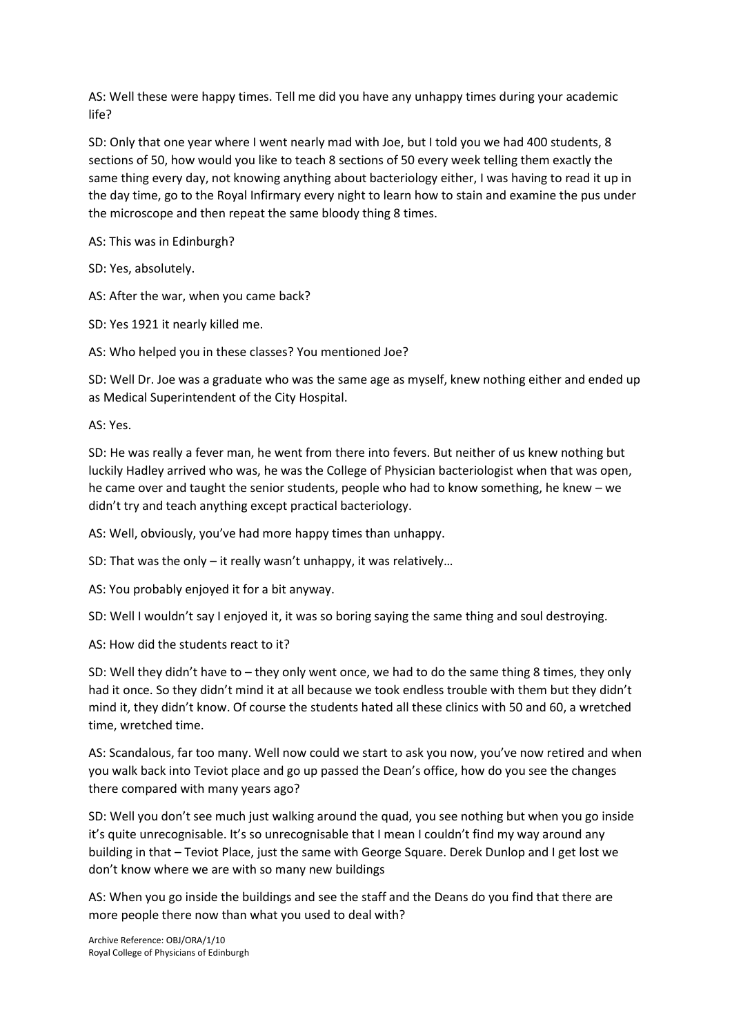AS: Well these were happy times. Tell me did you have any unhappy times during your academic life?

SD: Only that one year where I went nearly mad with Joe, but I told you we had 400 students, 8 sections of 50, how would you like to teach 8 sections of 50 every week telling them exactly the same thing every day, not knowing anything about bacteriology either, I was having to read it up in the day time, go to the Royal Infirmary every night to learn how to stain and examine the pus under the microscope and then repeat the same bloody thing 8 times.

AS: This was in Edinburgh?

SD: Yes, absolutely.

AS: After the war, when you came back?

SD: Yes 1921 it nearly killed me.

AS: Who helped you in these classes? You mentioned Joe?

SD: Well Dr. Joe was a graduate who was the same age as myself, knew nothing either and ended up as Medical Superintendent of the City Hospital.

AS: Yes.

SD: He was really a fever man, he went from there into fevers. But neither of us knew nothing but luckily Hadley arrived who was, he was the College of Physician bacteriologist when that was open, he came over and taught the senior students, people who had to know something, he knew – we didn't try and teach anything except practical bacteriology.

AS: Well, obviously, you've had more happy times than unhappy.

SD: That was the only – it really wasn't unhappy, it was relatively…

AS: You probably enjoyed it for a bit anyway.

SD: Well I wouldn't say I enjoyed it, it was so boring saying the same thing and soul destroying.

AS: How did the students react to it?

SD: Well they didn't have to – they only went once, we had to do the same thing 8 times, they only had it once. So they didn't mind it at all because we took endless trouble with them but they didn't mind it, they didn't know. Of course the students hated all these clinics with 50 and 60, a wretched time, wretched time.

AS: Scandalous, far too many. Well now could we start to ask you now, you've now retired and when you walk back into Teviot place and go up passed the Dean's office, how do you see the changes there compared with many years ago?

SD: Well you don't see much just walking around the quad, you see nothing but when you go inside it's quite unrecognisable. It's so unrecognisable that I mean I couldn't find my way around any building in that – Teviot Place, just the same with George Square. Derek Dunlop and I get lost we don't know where we are with so many new buildings

AS: When you go inside the buildings and see the staff and the Deans do you find that there are more people there now than what you used to deal with?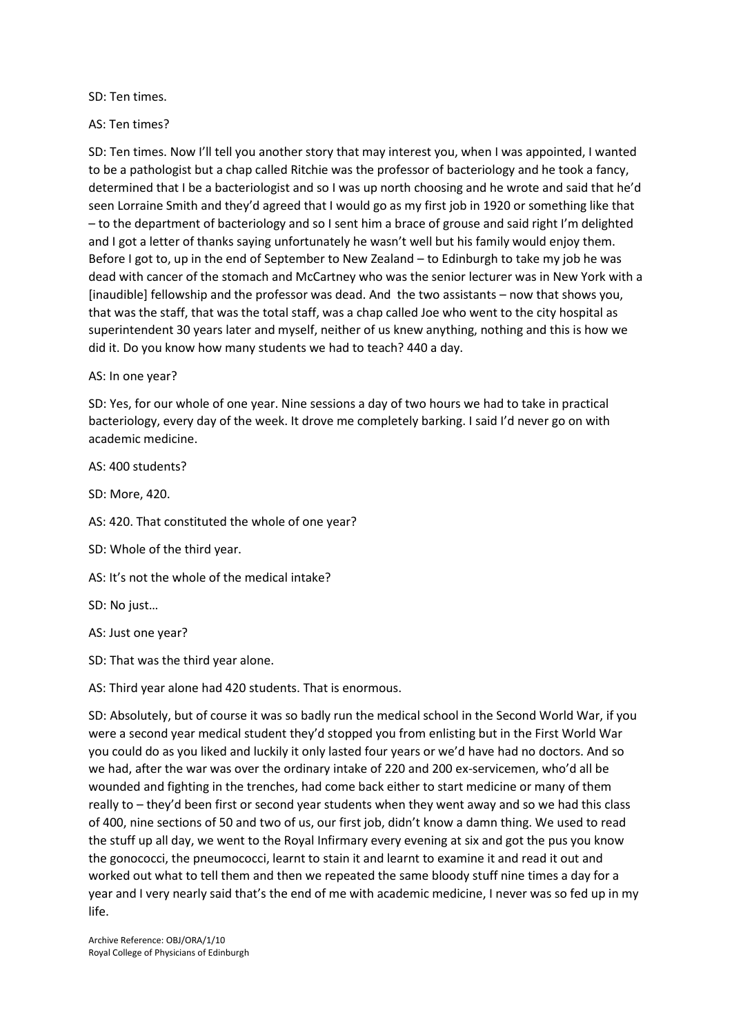SD: Ten times.

## AS: Ten times?

SD: Ten times. Now I'll tell you another story that may interest you, when I was appointed, I wanted to be a pathologist but a chap called Ritchie was the professor of bacteriology and he took a fancy, determined that I be a bacteriologist and so I was up north choosing and he wrote and said that he'd seen Lorraine Smith and they'd agreed that I would go as my first job in 1920 or something like that – to the department of bacteriology and so I sent him a brace of grouse and said right I'm delighted and I got a letter of thanks saying unfortunately he wasn't well but his family would enjoy them. Before I got to, up in the end of September to New Zealand – to Edinburgh to take my job he was dead with cancer of the stomach and McCartney who was the senior lecturer was in New York with a [inaudible] fellowship and the professor was dead. And the two assistants – now that shows you, that was the staff, that was the total staff, was a chap called Joe who went to the city hospital as superintendent 30 years later and myself, neither of us knew anything, nothing and this is how we did it. Do you know how many students we had to teach? 440 a day.

## AS: In one year?

SD: Yes, for our whole of one year. Nine sessions a day of two hours we had to take in practical bacteriology, every day of the week. It drove me completely barking. I said I'd never go on with academic medicine.

AS: 400 students?

SD: More, 420.

AS: 420. That constituted the whole of one year?

SD: Whole of the third year.

AS: It's not the whole of the medical intake?

SD: No just…

AS: Just one year?

SD: That was the third year alone.

AS: Third year alone had 420 students. That is enormous.

SD: Absolutely, but of course it was so badly run the medical school in the Second World War, if you were a second year medical student they'd stopped you from enlisting but in the First World War you could do as you liked and luckily it only lasted four years or we'd have had no doctors. And so we had, after the war was over the ordinary intake of 220 and 200 ex-servicemen, who'd all be wounded and fighting in the trenches, had come back either to start medicine or many of them really to – they'd been first or second year students when they went away and so we had this class of 400, nine sections of 50 and two of us, our first job, didn't know a damn thing. We used to read the stuff up all day, we went to the Royal Infirmary every evening at six and got the pus you know the gonococci, the pneumococci, learnt to stain it and learnt to examine it and read it out and worked out what to tell them and then we repeated the same bloody stuff nine times a day for a year and I very nearly said that's the end of me with academic medicine, I never was so fed up in my life.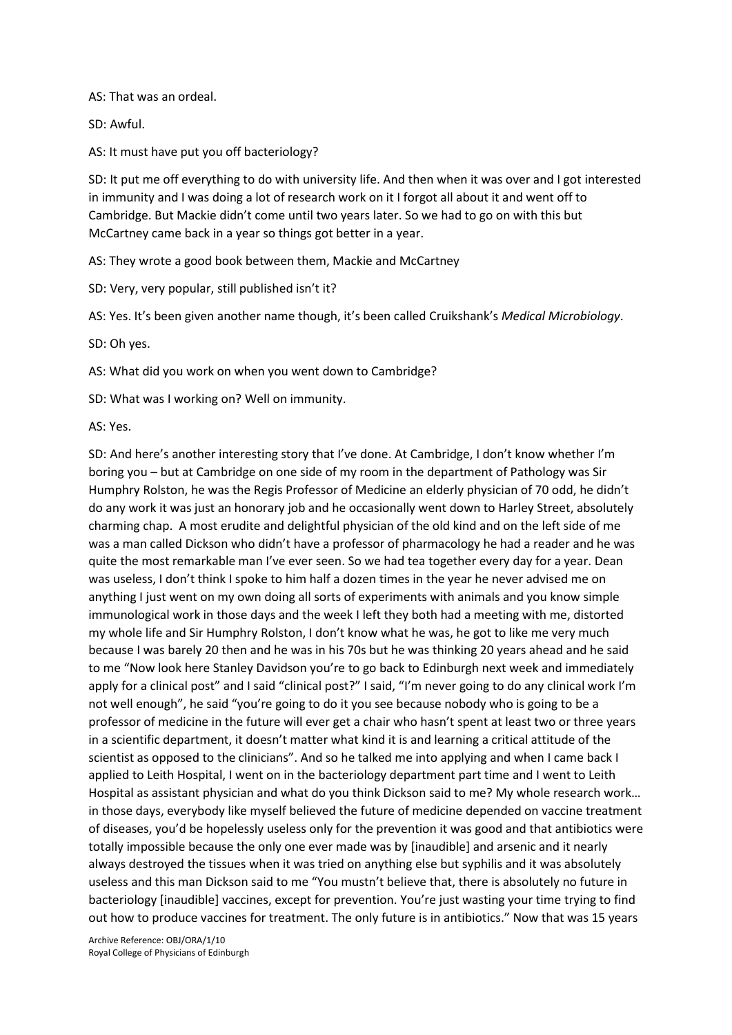AS: That was an ordeal.

SD: Awful.

AS: It must have put you off bacteriology?

SD: It put me off everything to do with university life. And then when it was over and I got interested in immunity and I was doing a lot of research work on it I forgot all about it and went off to Cambridge. But Mackie didn't come until two years later. So we had to go on with this but McCartney came back in a year so things got better in a year.

AS: They wrote a good book between them, Mackie and McCartney

SD: Very, very popular, still published isn't it?

AS: Yes. It's been given another name though, it's been called Cruikshank's *Medical Microbiology*.

SD: Oh yes.

AS: What did you work on when you went down to Cambridge?

SD: What was I working on? Well on immunity.

AS: Yes.

SD: And here's another interesting story that I've done. At Cambridge, I don't know whether I'm boring you – but at Cambridge on one side of my room in the department of Pathology was Sir Humphry Rolston, he was the Regis Professor of Medicine an elderly physician of 70 odd, he didn't do any work it was just an honorary job and he occasionally went down to Harley Street, absolutely charming chap. A most erudite and delightful physician of the old kind and on the left side of me was a man called Dickson who didn't have a professor of pharmacology he had a reader and he was quite the most remarkable man I've ever seen. So we had tea together every day for a year. Dean was useless, I don't think I spoke to him half a dozen times in the year he never advised me on anything I just went on my own doing all sorts of experiments with animals and you know simple immunological work in those days and the week I left they both had a meeting with me, distorted my whole life and Sir Humphry Rolston, I don't know what he was, he got to like me very much because I was barely 20 then and he was in his 70s but he was thinking 20 years ahead and he said to me "Now look here Stanley Davidson you're to go back to Edinburgh next week and immediately apply for a clinical post" and I said "clinical post?" I said, "I'm never going to do any clinical work I'm not well enough", he said "you're going to do it you see because nobody who is going to be a professor of medicine in the future will ever get a chair who hasn't spent at least two or three years in a scientific department, it doesn't matter what kind it is and learning a critical attitude of the scientist as opposed to the clinicians". And so he talked me into applying and when I came back I applied to Leith Hospital, I went on in the bacteriology department part time and I went to Leith Hospital as assistant physician and what do you think Dickson said to me? My whole research work… in those days, everybody like myself believed the future of medicine depended on vaccine treatment of diseases, you'd be hopelessly useless only for the prevention it was good and that antibiotics were totally impossible because the only one ever made was by [inaudible] and arsenic and it nearly always destroyed the tissues when it was tried on anything else but syphilis and it was absolutely useless and this man Dickson said to me "You mustn't believe that, there is absolutely no future in bacteriology [inaudible] vaccines, except for prevention. You're just wasting your time trying to find out how to produce vaccines for treatment. The only future is in antibiotics." Now that was 15 years

Archive Reference: OBJ/ORA/1/10 Royal College of Physicians of Edinburgh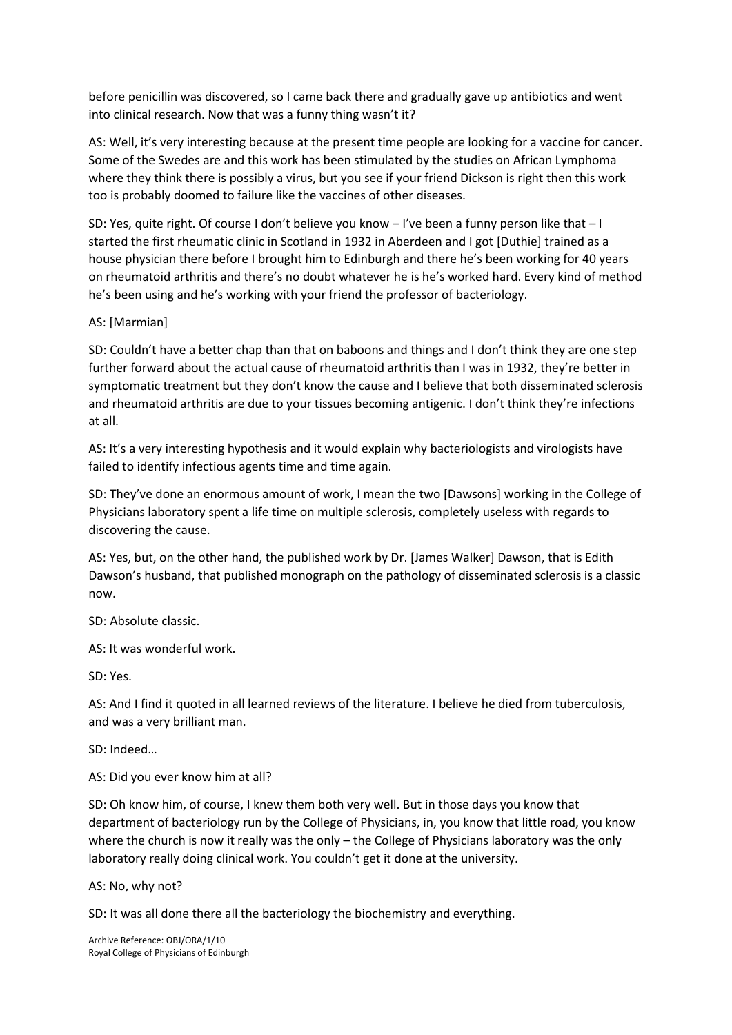before penicillin was discovered, so I came back there and gradually gave up antibiotics and went into clinical research. Now that was a funny thing wasn't it?

AS: Well, it's very interesting because at the present time people are looking for a vaccine for cancer. Some of the Swedes are and this work has been stimulated by the studies on African Lymphoma where they think there is possibly a virus, but you see if your friend Dickson is right then this work too is probably doomed to failure like the vaccines of other diseases.

SD: Yes, quite right. Of course I don't believe you know – I've been a funny person like that – I started the first rheumatic clinic in Scotland in 1932 in Aberdeen and I got [Duthie] trained as a house physician there before I brought him to Edinburgh and there he's been working for 40 years on rheumatoid arthritis and there's no doubt whatever he is he's worked hard. Every kind of method he's been using and he's working with your friend the professor of bacteriology.

# AS: [Marmian]

SD: Couldn't have a better chap than that on baboons and things and I don't think they are one step further forward about the actual cause of rheumatoid arthritis than I was in 1932, they're better in symptomatic treatment but they don't know the cause and I believe that both disseminated sclerosis and rheumatoid arthritis are due to your tissues becoming antigenic. I don't think they're infections at all.

AS: It's a very interesting hypothesis and it would explain why bacteriologists and virologists have failed to identify infectious agents time and time again.

SD: They've done an enormous amount of work, I mean the two [Dawsons] working in the College of Physicians laboratory spent a life time on multiple sclerosis, completely useless with regards to discovering the cause.

AS: Yes, but, on the other hand, the published work by Dr. [James Walker] Dawson, that is Edith Dawson's husband, that published monograph on the pathology of disseminated sclerosis is a classic now.

SD: Absolute classic.

AS: It was wonderful work.

SD: Yes.

AS: And I find it quoted in all learned reviews of the literature. I believe he died from tuberculosis, and was a very brilliant man.

SD: Indeed…

AS: Did you ever know him at all?

SD: Oh know him, of course, I knew them both very well. But in those days you know that department of bacteriology run by the College of Physicians, in, you know that little road, you know where the church is now it really was the only – the College of Physicians laboratory was the only laboratory really doing clinical work. You couldn't get it done at the university.

AS: No, why not?

SD: It was all done there all the bacteriology the biochemistry and everything.

Archive Reference: OBJ/ORA/1/10 Royal College of Physicians of Edinburgh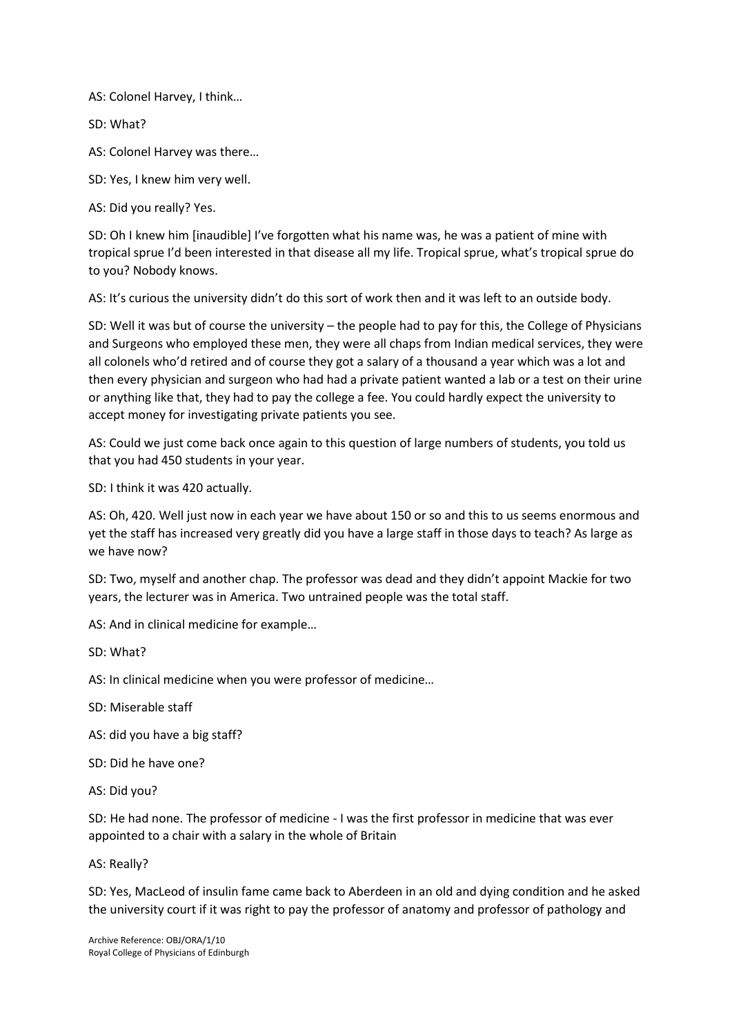AS: Colonel Harvey, I think…

SD: What?

AS: Colonel Harvey was there…

SD: Yes, I knew him very well.

AS: Did you really? Yes.

SD: Oh I knew him [inaudible] I've forgotten what his name was, he was a patient of mine with tropical sprue I'd been interested in that disease all my life. Tropical sprue, what's tropical sprue do to you? Nobody knows.

AS: It's curious the university didn't do this sort of work then and it was left to an outside body.

SD: Well it was but of course the university – the people had to pay for this, the College of Physicians and Surgeons who employed these men, they were all chaps from Indian medical services, they were all colonels who'd retired and of course they got a salary of a thousand a year which was a lot and then every physician and surgeon who had had a private patient wanted a lab or a test on their urine or anything like that, they had to pay the college a fee. You could hardly expect the university to accept money for investigating private patients you see.

AS: Could we just come back once again to this question of large numbers of students, you told us that you had 450 students in your year.

SD: I think it was 420 actually.

AS: Oh, 420. Well just now in each year we have about 150 or so and this to us seems enormous and yet the staff has increased very greatly did you have a large staff in those days to teach? As large as we have now?

SD: Two, myself and another chap. The professor was dead and they didn't appoint Mackie for two years, the lecturer was in America. Two untrained people was the total staff.

AS: And in clinical medicine for example…

SD: What?

AS: In clinical medicine when you were professor of medicine…

SD: Miserable staff

AS: did you have a big staff?

SD: Did he have one?

AS: Did you?

SD: He had none. The professor of medicine - I was the first professor in medicine that was ever appointed to a chair with a salary in the whole of Britain

AS: Really?

SD: Yes, MacLeod of insulin fame came back to Aberdeen in an old and dying condition and he asked the university court if it was right to pay the professor of anatomy and professor of pathology and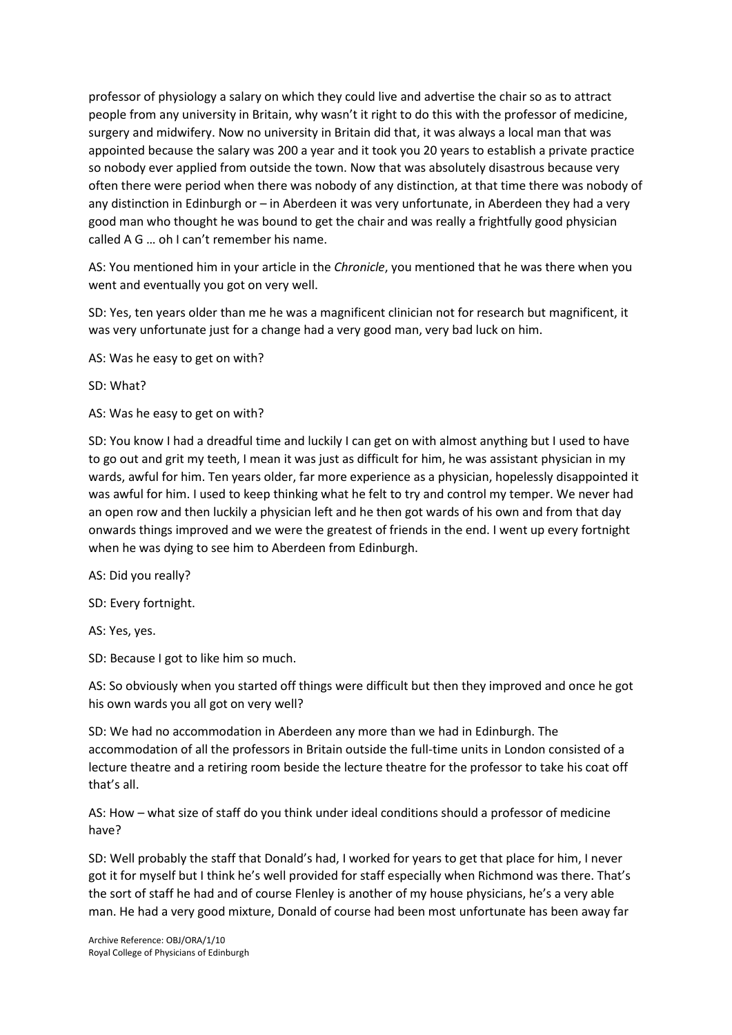professor of physiology a salary on which they could live and advertise the chair so as to attract people from any university in Britain, why wasn't it right to do this with the professor of medicine, surgery and midwifery. Now no university in Britain did that, it was always a local man that was appointed because the salary was 200 a year and it took you 20 years to establish a private practice so nobody ever applied from outside the town. Now that was absolutely disastrous because very often there were period when there was nobody of any distinction, at that time there was nobody of any distinction in Edinburgh or – in Aberdeen it was very unfortunate, in Aberdeen they had a very good man who thought he was bound to get the chair and was really a frightfully good physician called A G … oh I can't remember his name.

AS: You mentioned him in your article in the *Chronicle*, you mentioned that he was there when you went and eventually you got on very well.

SD: Yes, ten years older than me he was a magnificent clinician not for research but magnificent, it was very unfortunate just for a change had a very good man, very bad luck on him.

AS: Was he easy to get on with?

SD: What?

AS: Was he easy to get on with?

SD: You know I had a dreadful time and luckily I can get on with almost anything but I used to have to go out and grit my teeth, I mean it was just as difficult for him, he was assistant physician in my wards, awful for him. Ten years older, far more experience as a physician, hopelessly disappointed it was awful for him. I used to keep thinking what he felt to try and control my temper. We never had an open row and then luckily a physician left and he then got wards of his own and from that day onwards things improved and we were the greatest of friends in the end. I went up every fortnight when he was dying to see him to Aberdeen from Edinburgh.

AS: Did you really?

SD: Every fortnight.

AS: Yes, yes.

SD: Because I got to like him so much.

AS: So obviously when you started off things were difficult but then they improved and once he got his own wards you all got on very well?

SD: We had no accommodation in Aberdeen any more than we had in Edinburgh. The accommodation of all the professors in Britain outside the full-time units in London consisted of a lecture theatre and a retiring room beside the lecture theatre for the professor to take his coat off that's all.

AS: How – what size of staff do you think under ideal conditions should a professor of medicine have?

SD: Well probably the staff that Donald's had, I worked for years to get that place for him, I never got it for myself but I think he's well provided for staff especially when Richmond was there. That's the sort of staff he had and of course Flenley is another of my house physicians, he's a very able man. He had a very good mixture, Donald of course had been most unfortunate has been away far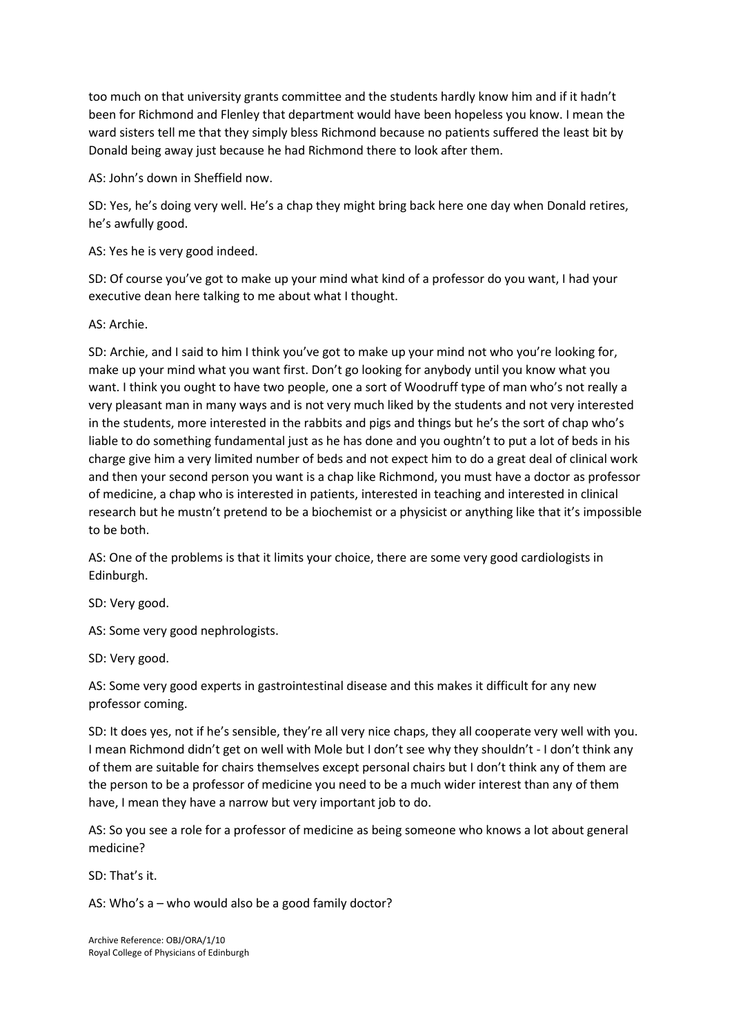too much on that university grants committee and the students hardly know him and if it hadn't been for Richmond and Flenley that department would have been hopeless you know. I mean the ward sisters tell me that they simply bless Richmond because no patients suffered the least bit by Donald being away just because he had Richmond there to look after them.

AS: John's down in Sheffield now.

SD: Yes, he's doing very well. He's a chap they might bring back here one day when Donald retires, he's awfully good.

AS: Yes he is very good indeed.

SD: Of course you've got to make up your mind what kind of a professor do you want, I had your executive dean here talking to me about what I thought.

AS: Archie.

SD: Archie, and I said to him I think you've got to make up your mind not who you're looking for, make up your mind what you want first. Don't go looking for anybody until you know what you want. I think you ought to have two people, one a sort of Woodruff type of man who's not really a very pleasant man in many ways and is not very much liked by the students and not very interested in the students, more interested in the rabbits and pigs and things but he's the sort of chap who's liable to do something fundamental just as he has done and you oughtn't to put a lot of beds in his charge give him a very limited number of beds and not expect him to do a great deal of clinical work and then your second person you want is a chap like Richmond, you must have a doctor as professor of medicine, a chap who is interested in patients, interested in teaching and interested in clinical research but he mustn't pretend to be a biochemist or a physicist or anything like that it's impossible to be both.

AS: One of the problems is that it limits your choice, there are some very good cardiologists in Edinburgh.

SD: Very good.

AS: Some very good nephrologists.

SD: Very good.

AS: Some very good experts in gastrointestinal disease and this makes it difficult for any new professor coming.

SD: It does yes, not if he's sensible, they're all very nice chaps, they all cooperate very well with you. I mean Richmond didn't get on well with Mole but I don't see why they shouldn't - I don't think any of them are suitable for chairs themselves except personal chairs but I don't think any of them are the person to be a professor of medicine you need to be a much wider interest than any of them have, I mean they have a narrow but very important job to do.

AS: So you see a role for a professor of medicine as being someone who knows a lot about general medicine?

SD: That's it.

AS: Who's a – who would also be a good family doctor?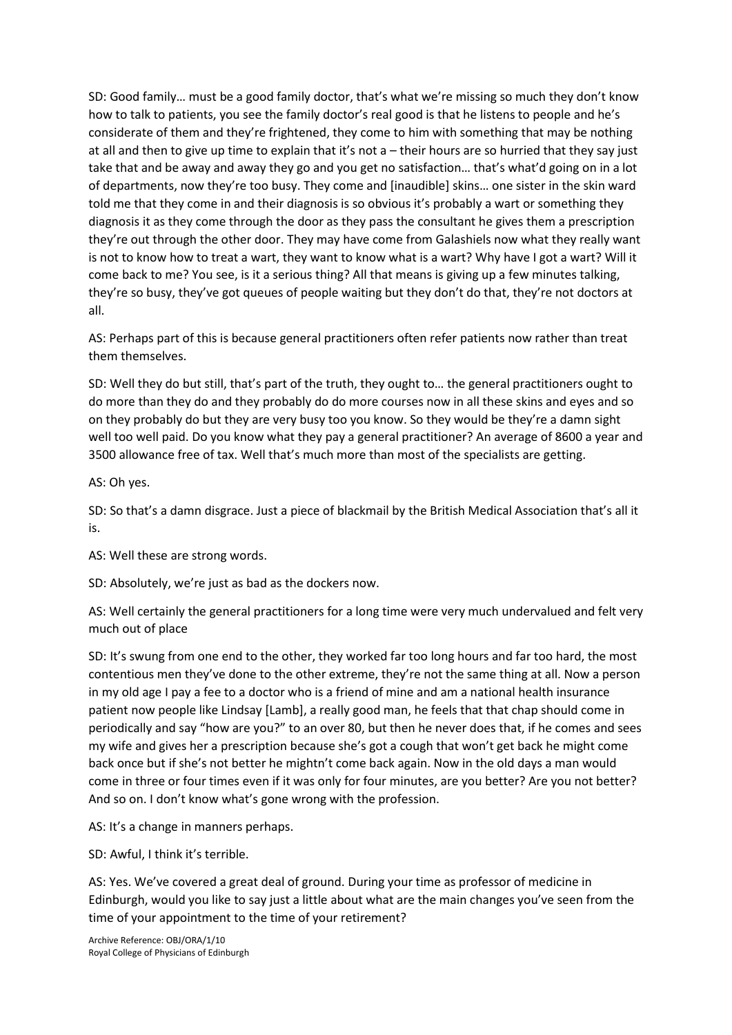SD: Good family… must be a good family doctor, that's what we're missing so much they don't know how to talk to patients, you see the family doctor's real good is that he listens to people and he's considerate of them and they're frightened, they come to him with something that may be nothing at all and then to give up time to explain that it's not a – their hours are so hurried that they say just take that and be away and away they go and you get no satisfaction… that's what'd going on in a lot of departments, now they're too busy. They come and [inaudible] skins… one sister in the skin ward told me that they come in and their diagnosis is so obvious it's probably a wart or something they diagnosis it as they come through the door as they pass the consultant he gives them a prescription they're out through the other door. They may have come from Galashiels now what they really want is not to know how to treat a wart, they want to know what is a wart? Why have I got a wart? Will it come back to me? You see, is it a serious thing? All that means is giving up a few minutes talking, they're so busy, they've got queues of people waiting but they don't do that, they're not doctors at all.

AS: Perhaps part of this is because general practitioners often refer patients now rather than treat them themselves.

SD: Well they do but still, that's part of the truth, they ought to… the general practitioners ought to do more than they do and they probably do do more courses now in all these skins and eyes and so on they probably do but they are very busy too you know. So they would be they're a damn sight well too well paid. Do you know what they pay a general practitioner? An average of 8600 a year and 3500 allowance free of tax. Well that's much more than most of the specialists are getting.

AS: Oh yes.

SD: So that's a damn disgrace. Just a piece of blackmail by the British Medical Association that's all it is.

AS: Well these are strong words.

SD: Absolutely, we're just as bad as the dockers now.

AS: Well certainly the general practitioners for a long time were very much undervalued and felt very much out of place

SD: It's swung from one end to the other, they worked far too long hours and far too hard, the most contentious men they've done to the other extreme, they're not the same thing at all. Now a person in my old age I pay a fee to a doctor who is a friend of mine and am a national health insurance patient now people like Lindsay [Lamb], a really good man, he feels that that chap should come in periodically and say "how are you?" to an over 80, but then he never does that, if he comes and sees my wife and gives her a prescription because she's got a cough that won't get back he might come back once but if she's not better he mightn't come back again. Now in the old days a man would come in three or four times even if it was only for four minutes, are you better? Are you not better? And so on. I don't know what's gone wrong with the profession.

AS: It's a change in manners perhaps.

SD: Awful, I think it's terrible.

AS: Yes. We've covered a great deal of ground. During your time as professor of medicine in Edinburgh, would you like to say just a little about what are the main changes you've seen from the time of your appointment to the time of your retirement?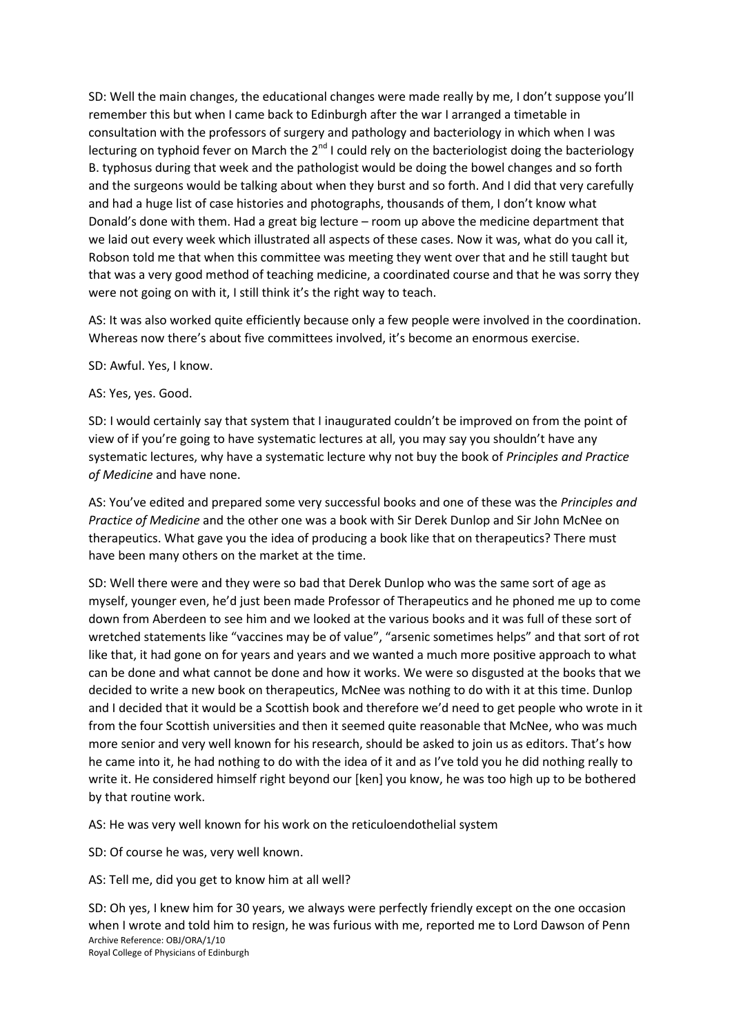SD: Well the main changes, the educational changes were made really by me, I don't suppose you'll remember this but when I came back to Edinburgh after the war I arranged a timetable in consultation with the professors of surgery and pathology and bacteriology in which when I was lecturing on typhoid fever on March the  $2^{nd}$  I could rely on the bacteriologist doing the bacteriology B. typhosus during that week and the pathologist would be doing the bowel changes and so forth and the surgeons would be talking about when they burst and so forth. And I did that very carefully and had a huge list of case histories and photographs, thousands of them, I don't know what Donald's done with them. Had a great big lecture – room up above the medicine department that we laid out every week which illustrated all aspects of these cases. Now it was, what do you call it, Robson told me that when this committee was meeting they went over that and he still taught but that was a very good method of teaching medicine, a coordinated course and that he was sorry they were not going on with it, I still think it's the right way to teach.

AS: It was also worked quite efficiently because only a few people were involved in the coordination. Whereas now there's about five committees involved, it's become an enormous exercise.

SD: Awful. Yes, I know.

AS: Yes, yes. Good.

SD: I would certainly say that system that I inaugurated couldn't be improved on from the point of view of if you're going to have systematic lectures at all, you may say you shouldn't have any systematic lectures, why have a systematic lecture why not buy the book of *Principles and Practice of Medicine* and have none.

AS: You've edited and prepared some very successful books and one of these was the *Principles and Practice of Medicine* and the other one was a book with Sir Derek Dunlop and Sir John McNee on therapeutics. What gave you the idea of producing a book like that on therapeutics? There must have been many others on the market at the time.

SD: Well there were and they were so bad that Derek Dunlop who was the same sort of age as myself, younger even, he'd just been made Professor of Therapeutics and he phoned me up to come down from Aberdeen to see him and we looked at the various books and it was full of these sort of wretched statements like "vaccines may be of value", "arsenic sometimes helps" and that sort of rot like that, it had gone on for years and years and we wanted a much more positive approach to what can be done and what cannot be done and how it works. We were so disgusted at the books that we decided to write a new book on therapeutics, McNee was nothing to do with it at this time. Dunlop and I decided that it would be a Scottish book and therefore we'd need to get people who wrote in it from the four Scottish universities and then it seemed quite reasonable that McNee, who was much more senior and very well known for his research, should be asked to join us as editors. That's how he came into it, he had nothing to do with the idea of it and as I've told you he did nothing really to write it. He considered himself right beyond our [ken] you know, he was too high up to be bothered by that routine work.

AS: He was very well known for his work on the reticuloendothelial system

SD: Of course he was, very well known.

AS: Tell me, did you get to know him at all well?

Archive Reference: OBJ/ORA/1/10 Royal College of Physicians of Edinburgh SD: Oh yes, I knew him for 30 years, we always were perfectly friendly except on the one occasion when I wrote and told him to resign, he was furious with me, reported me to Lord Dawson of Penn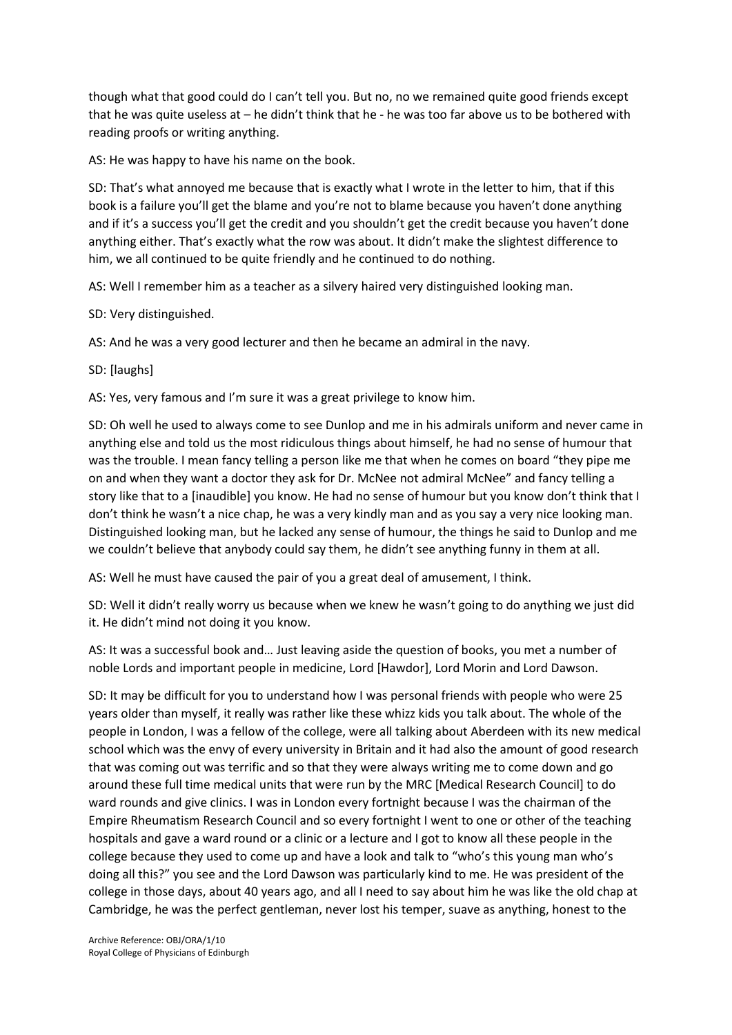though what that good could do I can't tell you. But no, no we remained quite good friends except that he was quite useless at – he didn't think that he - he was too far above us to be bothered with reading proofs or writing anything.

AS: He was happy to have his name on the book.

SD: That's what annoyed me because that is exactly what I wrote in the letter to him, that if this book is a failure you'll get the blame and you're not to blame because you haven't done anything and if it's a success you'll get the credit and you shouldn't get the credit because you haven't done anything either. That's exactly what the row was about. It didn't make the slightest difference to him, we all continued to be quite friendly and he continued to do nothing.

AS: Well I remember him as a teacher as a silvery haired very distinguished looking man.

SD: Very distinguished.

AS: And he was a very good lecturer and then he became an admiral in the navy.

SD: [laughs]

AS: Yes, very famous and I'm sure it was a great privilege to know him.

SD: Oh well he used to always come to see Dunlop and me in his admirals uniform and never came in anything else and told us the most ridiculous things about himself, he had no sense of humour that was the trouble. I mean fancy telling a person like me that when he comes on board "they pipe me on and when they want a doctor they ask for Dr. McNee not admiral McNee" and fancy telling a story like that to a [inaudible] you know. He had no sense of humour but you know don't think that I don't think he wasn't a nice chap, he was a very kindly man and as you say a very nice looking man. Distinguished looking man, but he lacked any sense of humour, the things he said to Dunlop and me we couldn't believe that anybody could say them, he didn't see anything funny in them at all.

AS: Well he must have caused the pair of you a great deal of amusement, I think.

SD: Well it didn't really worry us because when we knew he wasn't going to do anything we just did it. He didn't mind not doing it you know.

AS: It was a successful book and… Just leaving aside the question of books, you met a number of noble Lords and important people in medicine, Lord [Hawdor], Lord Morin and Lord Dawson.

SD: It may be difficult for you to understand how I was personal friends with people who were 25 years older than myself, it really was rather like these whizz kids you talk about. The whole of the people in London, I was a fellow of the college, were all talking about Aberdeen with its new medical school which was the envy of every university in Britain and it had also the amount of good research that was coming out was terrific and so that they were always writing me to come down and go around these full time medical units that were run by the MRC [Medical Research Council] to do ward rounds and give clinics. I was in London every fortnight because I was the chairman of the Empire Rheumatism Research Council and so every fortnight I went to one or other of the teaching hospitals and gave a ward round or a clinic or a lecture and I got to know all these people in the college because they used to come up and have a look and talk to "who's this young man who's doing all this?" you see and the Lord Dawson was particularly kind to me. He was president of the college in those days, about 40 years ago, and all I need to say about him he was like the old chap at Cambridge, he was the perfect gentleman, never lost his temper, suave as anything, honest to the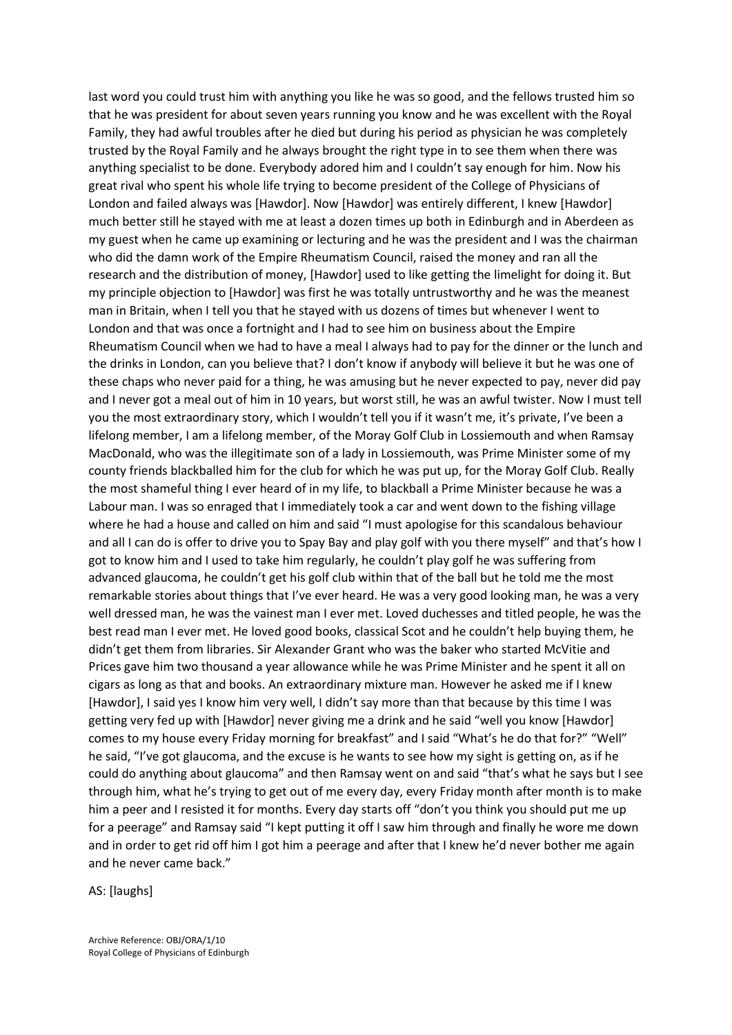last word you could trust him with anything you like he was so good, and the fellows trusted him so that he was president for about seven years running you know and he was excellent with the Royal Family, they had awful troubles after he died but during his period as physician he was completely trusted by the Royal Family and he always brought the right type in to see them when there was anything specialist to be done. Everybody adored him and I couldn't say enough for him. Now his great rival who spent his whole life trying to become president of the College of Physicians of London and failed always was [Hawdor]. Now [Hawdor] was entirely different, I knew [Hawdor] much better still he stayed with me at least a dozen times up both in Edinburgh and in Aberdeen as my guest when he came up examining or lecturing and he was the president and I was the chairman who did the damn work of the Empire Rheumatism Council, raised the money and ran all the research and the distribution of money, [Hawdor] used to like getting the limelight for doing it. But my principle objection to [Hawdor] was first he was totally untrustworthy and he was the meanest man in Britain, when I tell you that he stayed with us dozens of times but whenever I went to London and that was once a fortnight and I had to see him on business about the Empire Rheumatism Council when we had to have a meal I always had to pay for the dinner or the lunch and the drinks in London, can you believe that? I don't know if anybody will believe it but he was one of these chaps who never paid for a thing, he was amusing but he never expected to pay, never did pay and I never got a meal out of him in 10 years, but worst still, he was an awful twister. Now I must tell you the most extraordinary story, which I wouldn't tell you if it wasn't me, it's private, I've been a lifelong member, I am a lifelong member, of the Moray Golf Club in Lossiemouth and when Ramsay MacDonald, who was the illegitimate son of a lady in Lossiemouth, was Prime Minister some of my county friends blackballed him for the club for which he was put up, for the Moray Golf Club. Really the most shameful thing I ever heard of in my life, to blackball a Prime Minister because he was a Labour man. I was so enraged that I immediately took a car and went down to the fishing village where he had a house and called on him and said "I must apologise for this scandalous behaviour and all I can do is offer to drive you to Spay Bay and play golf with you there myself" and that's how I got to know him and I used to take him regularly, he couldn't play golf he was suffering from advanced glaucoma, he couldn't get his golf club within that of the ball but he told me the most remarkable stories about things that I've ever heard. He was a very good looking man, he was a very well dressed man, he was the vainest man I ever met. Loved duchesses and titled people, he was the best read man I ever met. He loved good books, classical Scot and he couldn't help buying them, he didn't get them from libraries. Sir Alexander Grant who was the baker who started McVitie and Prices gave him two thousand a year allowance while he was Prime Minister and he spent it all on cigars as long as that and books. An extraordinary mixture man. However he asked me if I knew [Hawdor], I said yes I know him very well, I didn't say more than that because by this time I was getting very fed up with [Hawdor] never giving me a drink and he said "well you know [Hawdor] comes to my house every Friday morning for breakfast" and I said "What's he do that for?" "Well" he said, "I've got glaucoma, and the excuse is he wants to see how my sight is getting on, as if he could do anything about glaucoma" and then Ramsay went on and said "that's what he says but I see through him, what he's trying to get out of me every day, every Friday month after month is to make him a peer and I resisted it for months. Every day starts off "don't you think you should put me up for a peerage" and Ramsay said "I kept putting it off I saw him through and finally he wore me down and in order to get rid off him I got him a peerage and after that I knew he'd never bother me again and he never came back."

AS: [laughs]